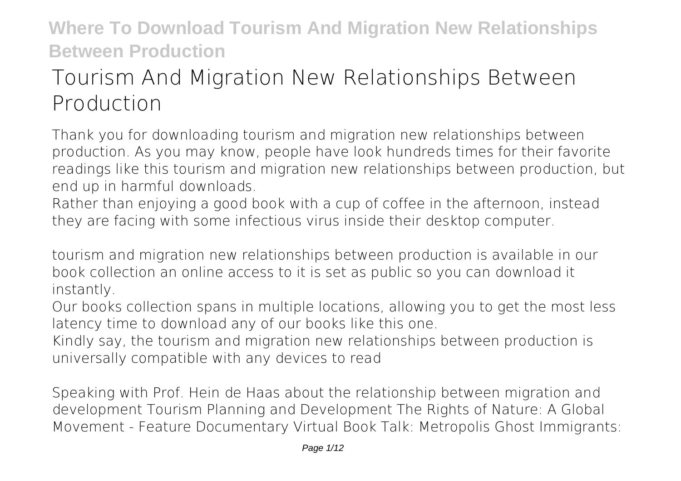# **Tourism And Migration New Relationships Between Production**

Thank you for downloading **tourism and migration new relationships between production**. As you may know, people have look hundreds times for their favorite readings like this tourism and migration new relationships between production, but end up in harmful downloads.

Rather than enjoying a good book with a cup of coffee in the afternoon, instead they are facing with some infectious virus inside their desktop computer.

tourism and migration new relationships between production is available in our book collection an online access to it is set as public so you can download it instantly.

Our books collection spans in multiple locations, allowing you to get the most less latency time to download any of our books like this one.

Kindly say, the tourism and migration new relationships between production is universally compatible with any devices to read

**Speaking with Prof. Hein de Haas about the relationship between migration and development Tourism Planning and Development** *The Rights of Nature: A Global Movement - Feature Documentary Virtual Book Talk: Metropolis Ghost Immigrants:*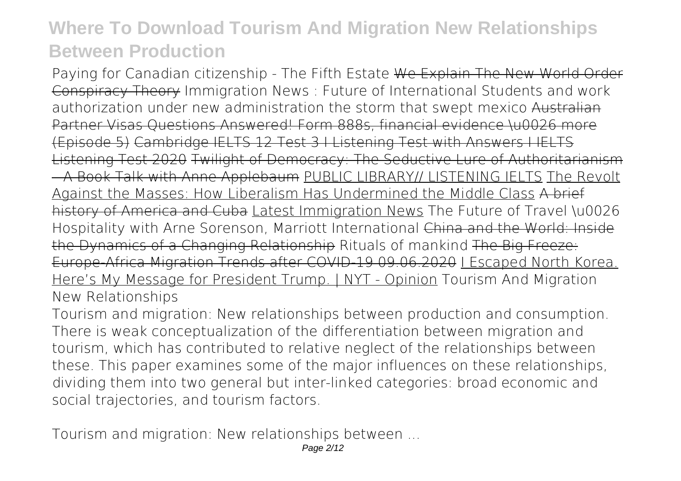*Paying for Canadian citizenship - The Fifth Estate* We Explain The New World Order Conspiracy Theory Immigration News : Future of International Students and work authorization under new administration *the storm that swept mexico* Australian Partner Visas Questions Answered! Form 888s, financial evidence \u0026 more (Episode 5) Cambridge IELTS 12 Test 3 I Listening Test with Answers I IELTS Listening Test 2020 Twilight of Democracy: The Seductive Lure of Authoritarianism – A Book Talk with Anne Applebaum PUBLIC LIBRARY// LISTENING IELTS The Revolt Against the Masses: How Liberalism Has Undermined the Middle Class A brief history of America and Cuba Latest Immigration News The Future of Travel \u0026 Hospitality with Arne Sorenson, Marriott International China and the World: Inside the Dynamics of a Changing Relationship *Rituals of mankind* The Big Freeze: Europe-Africa Migration Trends after COVID-19 09.06.2020 I Escaped North Korea. Here's My Message for President Trump. | NYT - Opinion *Tourism And Migration New Relationships*

Tourism and migration: New relationships between production and consumption. There is weak conceptualization of the differentiation between migration and tourism, which has contributed to relative neglect of the relationships between these. This paper examines some of the major influences on these relationships, dividing them into two general but inter-linked categories: broad economic and social trajectories, and tourism factors.

*Tourism and migration: New relationships between ...*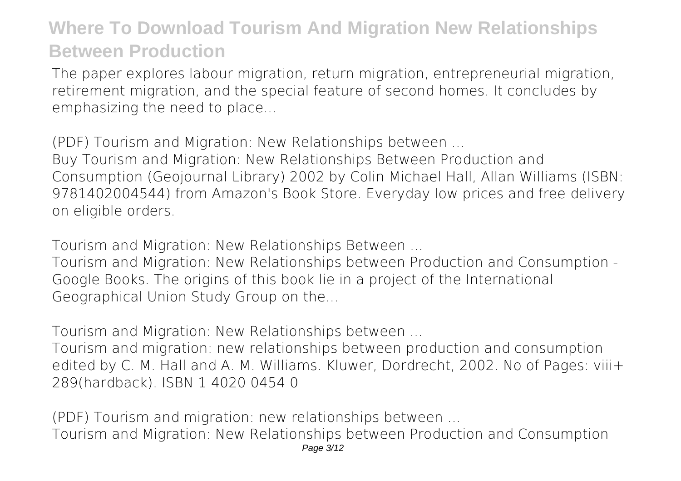The paper explores labour migration, return migration, entrepreneurial migration, retirement migration, and the special feature of second homes. It concludes by emphasizing the need to place...

*(PDF) Tourism and Migration: New Relationships between ...*

Buy Tourism and Migration: New Relationships Between Production and Consumption (Geojournal Library) 2002 by Colin Michael Hall, Allan Williams (ISBN: 9781402004544) from Amazon's Book Store. Everyday low prices and free delivery on eligible orders.

*Tourism and Migration: New Relationships Between ...*

Tourism and Migration: New Relationships between Production and Consumption - Google Books. The origins of this book lie in a project of the International Geographical Union Study Group on the...

*Tourism and Migration: New Relationships between ...*

Tourism and migration: new relationships between production and consumption edited by C. M. Hall and A. M. Williams. Kluwer, Dordrecht, 2002. No of Pages: viii+ 289(hardback). ISBN 1 4020 0454 0

*(PDF) Tourism and migration: new relationships between ...* Tourism and Migration: New Relationships between Production and Consumption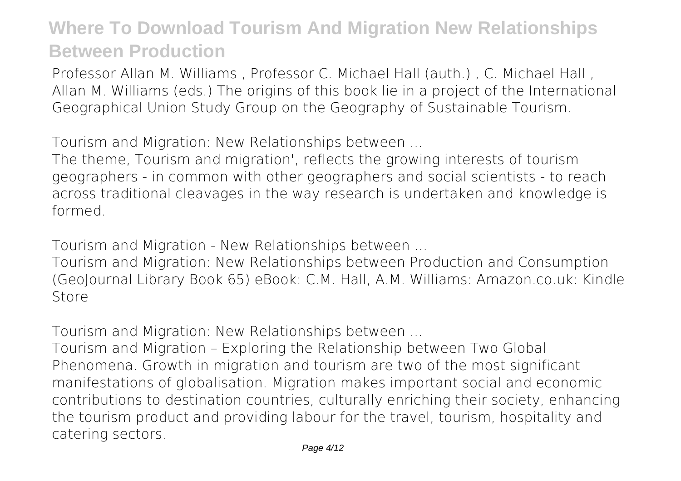Professor Allan M. Williams , Professor C. Michael Hall (auth.) , C. Michael Hall , Allan M. Williams (eds.) The origins of this book lie in a project of the International Geographical Union Study Group on the Geography of Sustainable Tourism.

*Tourism and Migration: New Relationships between ...*

The theme, Tourism and migration', reflects the growing interests of tourism geographers - in common with other geographers and social scientists - to reach across traditional cleavages in the way research is undertaken and knowledge is formed.

*Tourism and Migration - New Relationships between ...*

Tourism and Migration: New Relationships between Production and Consumption (GeoJournal Library Book 65) eBook: C.M. Hall, A.M. Williams: Amazon.co.uk: Kindle Store

*Tourism and Migration: New Relationships between ...*

Tourism and Migration – Exploring the Relationship between Two Global Phenomena. Growth in migration and tourism are two of the most significant manifestations of globalisation. Migration makes important social and economic contributions to destination countries, culturally enriching their society, enhancing the tourism product and providing labour for the travel, tourism, hospitality and catering sectors.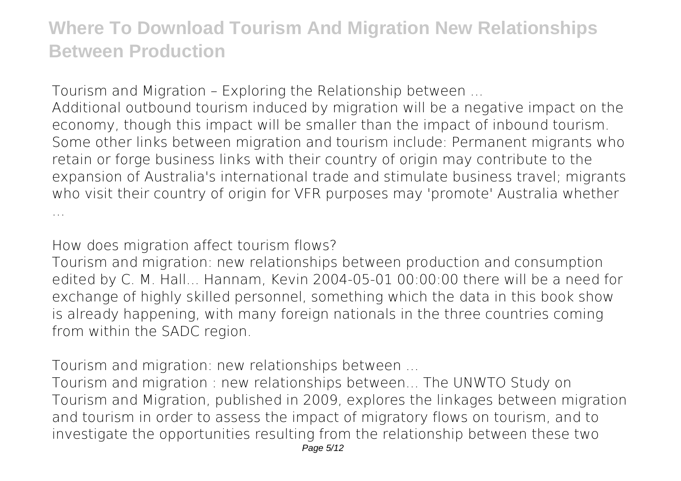*Tourism and Migration – Exploring the Relationship between ...*

Additional outbound tourism induced by migration will be a negative impact on the economy, though this impact will be smaller than the impact of inbound tourism. Some other links between migration and tourism include: Permanent migrants who retain or forge business links with their country of origin may contribute to the expansion of Australia's international trade and stimulate business travel; migrants who visit their country of origin for VFR purposes may 'promote' Australia whether ...

*How does migration affect tourism flows?*

Tourism and migration: new relationships between production and consumption edited by C. M. Hall... Hannam, Kevin 2004-05-01 00:00:00 there will be a need for exchange of highly skilled personnel, something which the data in this book show is already happening, with many foreign nationals in the three countries coming from within the SADC region.

*Tourism and migration: new relationships between ...*

Tourism and migration : new relationships between... The UNWTO Study on Tourism and Migration, published in 2009, explores the linkages between migration and tourism in order to assess the impact of migratory flows on tourism, and to investigate the opportunities resulting from the relationship between these two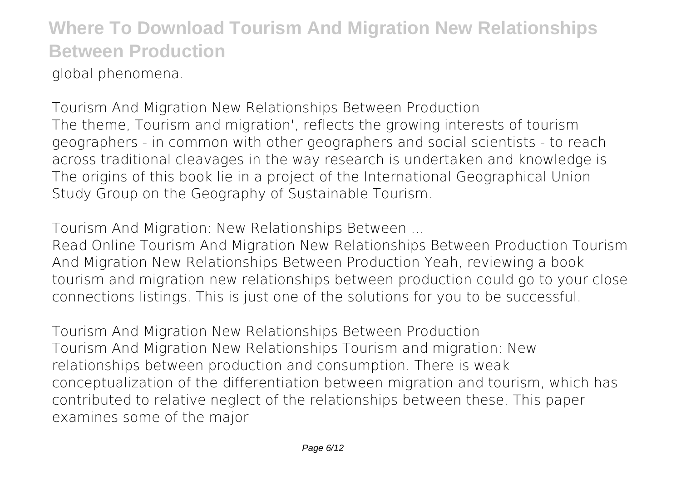global phenomena.

*Tourism And Migration New Relationships Between Production* The theme, Tourism and migration', reflects the growing interests of tourism geographers - in common with other geographers and social scientists - to reach across traditional cleavages in the way research is undertaken and knowledge is The origins of this book lie in a project of the International Geographical Union Study Group on the Geography of Sustainable Tourism.

*Tourism And Migration: New Relationships Between ...*

Read Online Tourism And Migration New Relationships Between Production Tourism And Migration New Relationships Between Production Yeah, reviewing a book tourism and migration new relationships between production could go to your close connections listings. This is just one of the solutions for you to be successful.

*Tourism And Migration New Relationships Between Production* Tourism And Migration New Relationships Tourism and migration: New relationships between production and consumption. There is weak conceptualization of the differentiation between migration and tourism, which has contributed to relative neglect of the relationships between these. This paper examines some of the major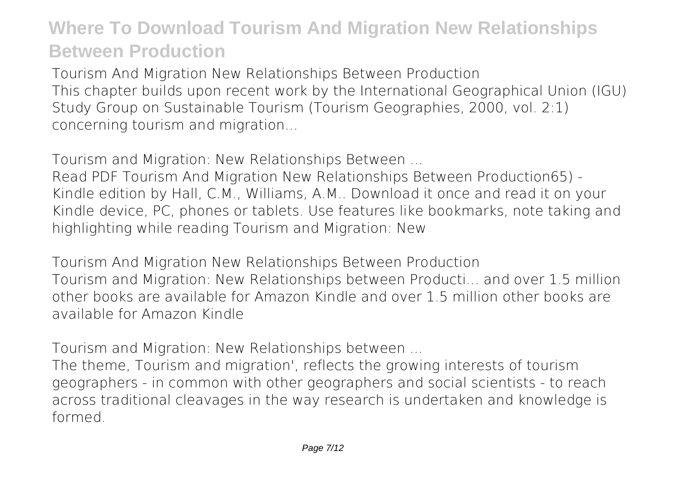*Tourism And Migration New Relationships Between Production* This chapter builds upon recent work by the International Geographical Union (IGU) Study Group on Sustainable Tourism (Tourism Geographies, 2000, vol. 2:1) concerning tourism and migration...

*Tourism and Migration: New Relationships Between ...*

Read PDF Tourism And Migration New Relationships Between Production65) - Kindle edition by Hall, C.M., Williams, A.M.. Download it once and read it on your Kindle device, PC, phones or tablets. Use features like bookmarks, note taking and highlighting while reading Tourism and Migration: New

*Tourism And Migration New Relationships Between Production* Tourism and Migration: New Relationships between Producti... and over 1.5 million other books are available for Amazon Kindle and over 1.5 million other books are available for Amazon Kindle

*Tourism and Migration: New Relationships between ...*

The theme, Tourism and migration', reflects the growing interests of tourism geographers - in common with other geographers and social scientists - to reach across traditional cleavages in the way research is undertaken and knowledge is formed.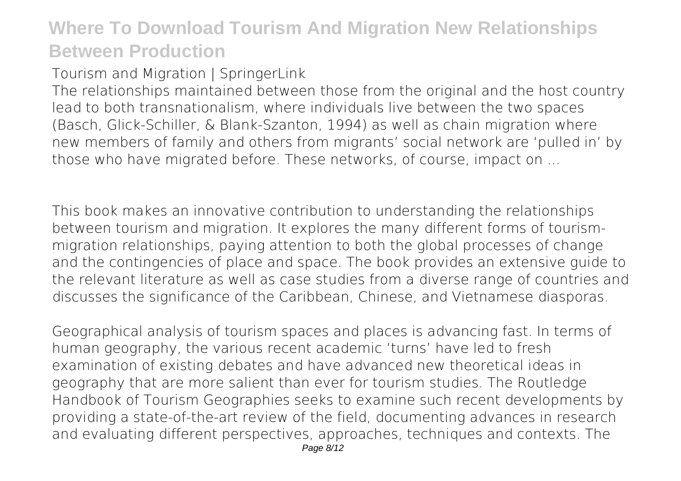#### *Tourism and Migration | SpringerLink*

The relationships maintained between those from the original and the host country lead to both transnationalism, where individuals live between the two spaces (Basch, Glick-Schiller, & Blank-Szanton, 1994) as well as chain migration where new members of family and others from migrants' social network are 'pulled in' by those who have migrated before. These networks, of course, impact on ...

This book makes an innovative contribution to understanding the relationships between tourism and migration. It explores the many different forms of tourismmigration relationships, paying attention to both the global processes of change and the contingencies of place and space. The book provides an extensive guide to the relevant literature as well as case studies from a diverse range of countries and discusses the significance of the Caribbean, Chinese, and Vietnamese diasporas.

Geographical analysis of tourism spaces and places is advancing fast. In terms of human geography, the various recent academic 'turns' have led to fresh examination of existing debates and have advanced new theoretical ideas in geography that are more salient than ever for tourism studies. The Routledge Handbook of Tourism Geographies seeks to examine such recent developments by providing a state-of-the-art review of the field, documenting advances in research and evaluating different perspectives, approaches, techniques and contexts. The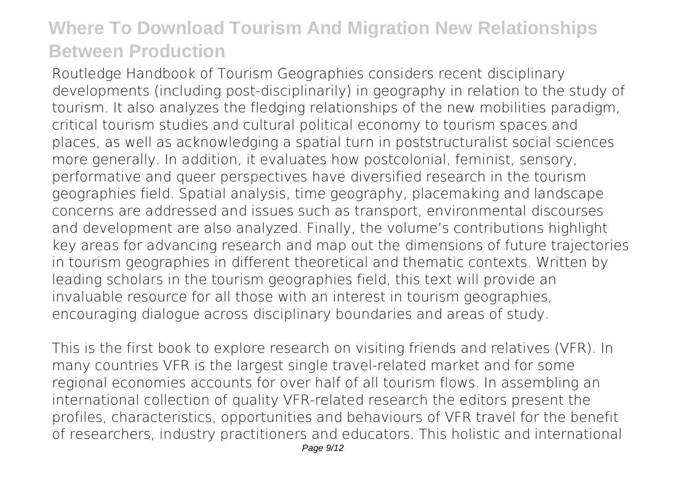Routledge Handbook of Tourism Geographies considers recent disciplinary developments (including post-disciplinarily) in geography in relation to the study of tourism. It also analyzes the fledging relationships of the new mobilities paradigm, critical tourism studies and cultural political economy to tourism spaces and places, as well as acknowledging a spatial turn in poststructuralist social sciences more generally. In addition, it evaluates how postcolonial, feminist, sensory, performative and queer perspectives have diversified research in the tourism geographies field. Spatial analysis, time geography, placemaking and landscape concerns are addressed and issues such as transport, environmental discourses and development are also analyzed. Finally, the volume's contributions highlight key areas for advancing research and map out the dimensions of future trajectories in tourism geographies in different theoretical and thematic contexts. Written by leading scholars in the tourism geographies field, this text will provide an invaluable resource for all those with an interest in tourism geographies, encouraging dialogue across disciplinary boundaries and areas of study.

This is the first book to explore research on visiting friends and relatives (VFR). In many countries VFR is the largest single travel-related market and for some regional economies accounts for over half of all tourism flows. In assembling an international collection of quality VFR-related research the editors present the profiles, characteristics, opportunities and behaviours of VFR travel for the benefit of researchers, industry practitioners and educators. This holistic and international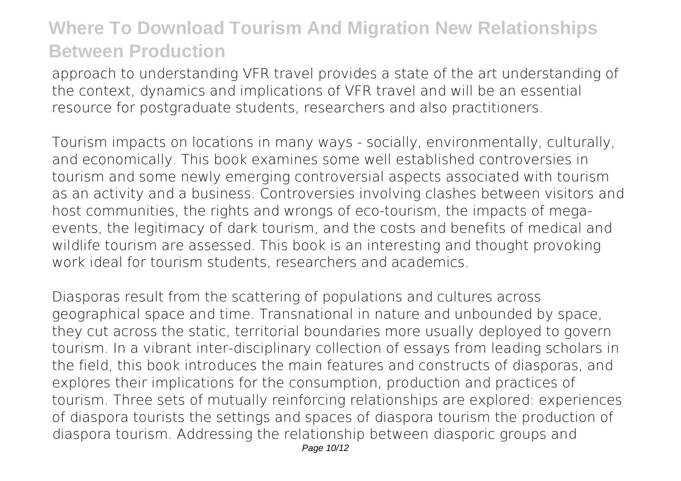approach to understanding VFR travel provides a state of the art understanding of the context, dynamics and implications of VFR travel and will be an essential resource for postgraduate students, researchers and also practitioners.

Tourism impacts on locations in many ways - socially, environmentally, culturally, and economically. This book examines some well established controversies in tourism and some newly emerging controversial aspects associated with tourism as an activity and a business. Controversies involving clashes between visitors and host communities, the rights and wrongs of eco-tourism, the impacts of megaevents, the legitimacy of dark tourism, and the costs and benefits of medical and wildlife tourism are assessed. This book is an interesting and thought provoking work ideal for tourism students, researchers and academics.

Diasporas result from the scattering of populations and cultures across geographical space and time. Transnational in nature and unbounded by space, they cut across the static, territorial boundaries more usually deployed to govern tourism. In a vibrant inter-disciplinary collection of essays from leading scholars in the field, this book introduces the main features and constructs of diasporas, and explores their implications for the consumption, production and practices of tourism. Three sets of mutually reinforcing relationships are explored: experiences of diaspora tourists the settings and spaces of diaspora tourism the production of diaspora tourism. Addressing the relationship between diasporic groups and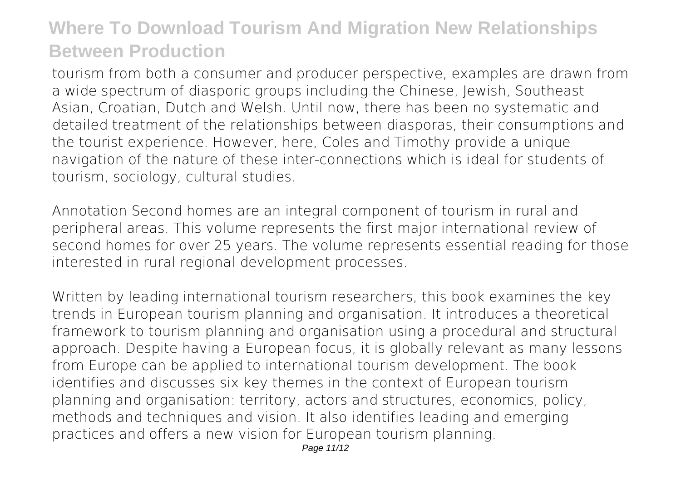tourism from both a consumer and producer perspective, examples are drawn from a wide spectrum of diasporic groups including the Chinese, Jewish, Southeast Asian, Croatian, Dutch and Welsh. Until now, there has been no systematic and detailed treatment of the relationships between diasporas, their consumptions and the tourist experience. However, here, Coles and Timothy provide a unique navigation of the nature of these inter-connections which is ideal for students of tourism, sociology, cultural studies.

Annotation Second homes are an integral component of tourism in rural and peripheral areas. This volume represents the first major international review of second homes for over 25 years. The volume represents essential reading for those interested in rural regional development processes.

Written by leading international tourism researchers, this book examines the key trends in European tourism planning and organisation. It introduces a theoretical framework to tourism planning and organisation using a procedural and structural approach. Despite having a European focus, it is globally relevant as many lessons from Europe can be applied to international tourism development. The book identifies and discusses six key themes in the context of European tourism planning and organisation: territory, actors and structures, economics, policy, methods and techniques and vision. It also identifies leading and emerging practices and offers a new vision for European tourism planning.